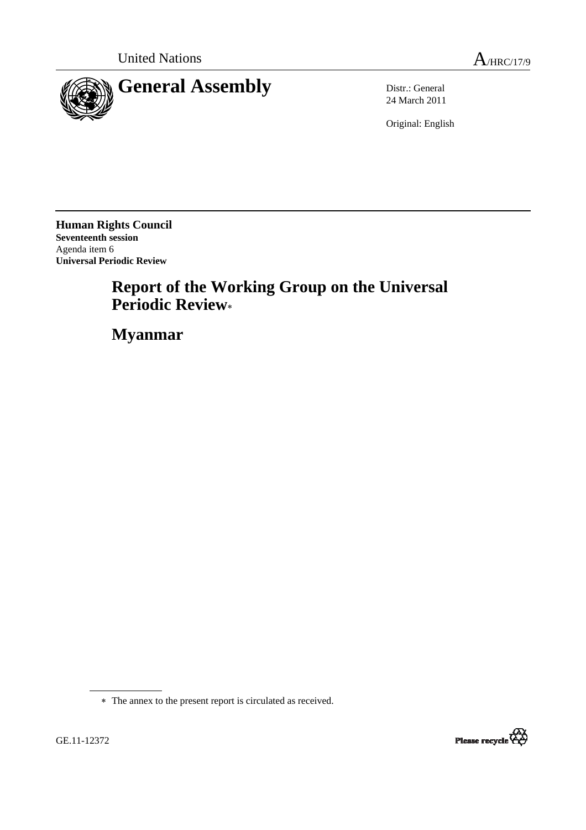



24 March 2011

Original: English

**Human Rights Council Seventeenth session**  Agenda item 6 **Universal Periodic Review** 

# **Report of the Working Group on the Universal Periodic Review**<sup>∗</sup>

 **Myanmar**



<sup>∗</sup> The annex to the present report is circulated as received.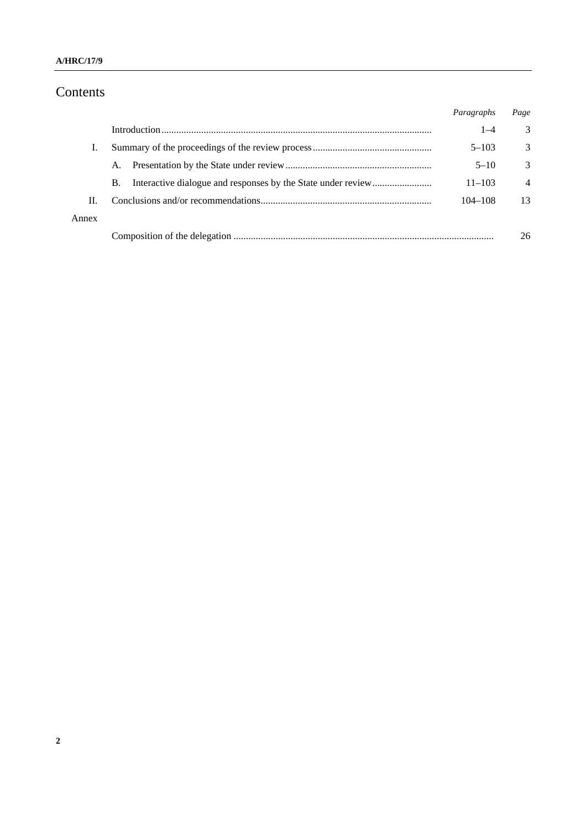## Contents

|       |    | Paragraphs | Page           |
|-------|----|------------|----------------|
|       |    | $1 - 4$    | 3              |
| T.    |    | $5 - 103$  | 3              |
|       | A. | $5 - 10$   | 3              |
|       | В. | $11 - 103$ | $\overline{4}$ |
| П.    |    | 104-108    | 13             |
| Annex |    |            |                |
|       |    |            | 26             |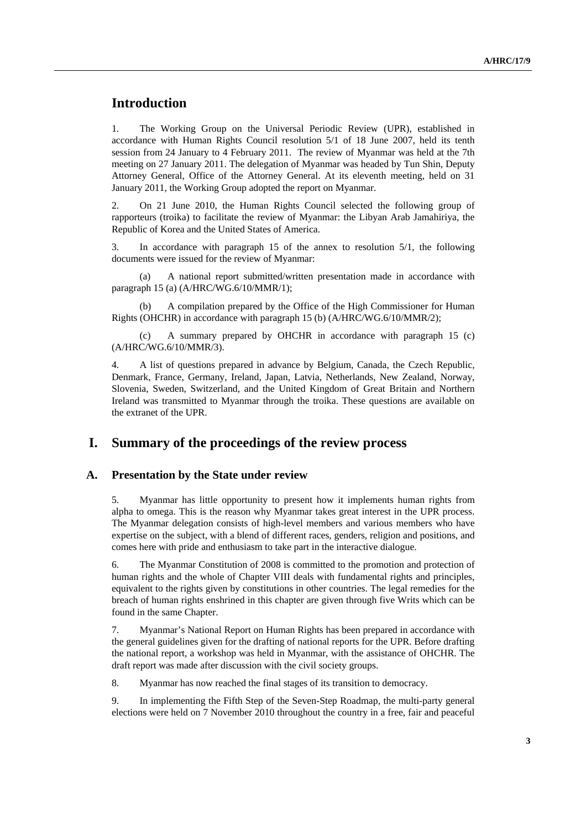## **Introduction**

1. The Working Group on the Universal Periodic Review (UPR), established in accordance with Human Rights Council resolution 5/1 of 18 June 2007, held its tenth session from 24 January to 4 February 2011. The review of Myanmar was held at the 7th meeting on 27 January 2011. The delegation of Myanmar was headed by Tun Shin, Deputy Attorney General, Office of the Attorney General. At its eleventh meeting, held on 31 January 2011, the Working Group adopted the report on Myanmar.

2. On 21 June 2010, the Human Rights Council selected the following group of rapporteurs (troika) to facilitate the review of Myanmar: the Libyan Arab Jamahiriya, the Republic of Korea and the United States of America.

3. In accordance with paragraph 15 of the annex to resolution 5/1, the following documents were issued for the review of Myanmar:

 (a) A national report submitted/written presentation made in accordance with paragraph 15 (a) (A/HRC/WG.6/10/MMR/1);

A compilation prepared by the Office of the High Commissioner for Human Rights (OHCHR) in accordance with paragraph 15 (b) (A/HRC/WG.6/10/MMR/2);

 (c) A summary prepared by OHCHR in accordance with paragraph 15 (c) (A/HRC/WG.6/10/MMR/3).

4. A list of questions prepared in advance by Belgium, Canada, the Czech Republic, Denmark, France, Germany, Ireland, Japan, Latvia, Netherlands, New Zealand, Norway, Slovenia, Sweden, Switzerland, and the United Kingdom of Great Britain and Northern Ireland was transmitted to Myanmar through the troika. These questions are available on the extranet of the UPR.

## **I. Summary of the proceedings of the review process**

#### **A. Presentation by the State under review**

5. Myanmar has little opportunity to present how it implements human rights from alpha to omega. This is the reason why Myanmar takes great interest in the UPR process. The Myanmar delegation consists of high-level members and various members who have expertise on the subject, with a blend of different races, genders, religion and positions, and comes here with pride and enthusiasm to take part in the interactive dialogue.

6. The Myanmar Constitution of 2008 is committed to the promotion and protection of human rights and the whole of Chapter VIII deals with fundamental rights and principles, equivalent to the rights given by constitutions in other countries. The legal remedies for the breach of human rights enshrined in this chapter are given through five Writs which can be found in the same Chapter.

7. Myanmar's National Report on Human Rights has been prepared in accordance with the general guidelines given for the drafting of national reports for the UPR. Before drafting the national report, a workshop was held in Myanmar, with the assistance of OHCHR. The draft report was made after discussion with the civil society groups.

8. Myanmar has now reached the final stages of its transition to democracy.

9. In implementing the Fifth Step of the Seven-Step Roadmap, the multi-party general elections were held on 7 November 2010 throughout the country in a free, fair and peaceful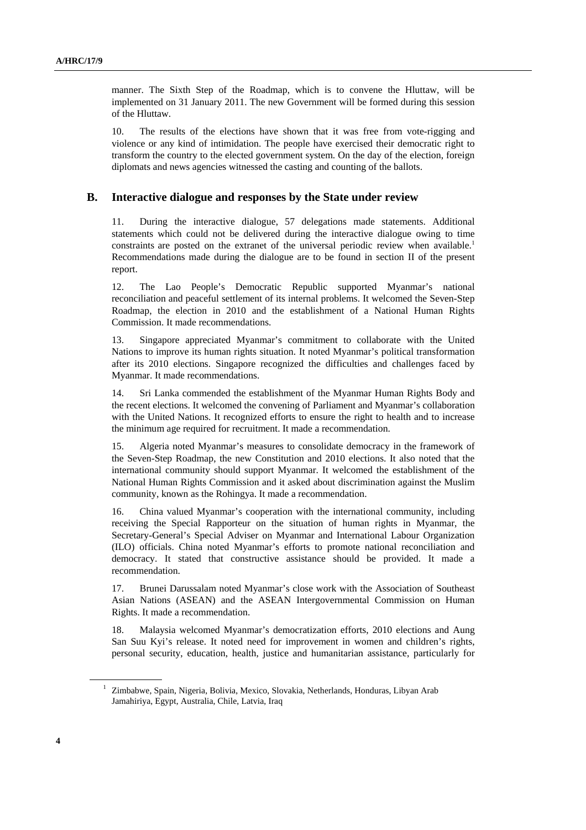manner. The Sixth Step of the Roadmap, which is to convene the Hluttaw, will be implemented on 31 January 2011. The new Government will be formed during this session of the Hluttaw.

10. The results of the elections have shown that it was free from vote-rigging and violence or any kind of intimidation. The people have exercised their democratic right to transform the country to the elected government system. On the day of the election, foreign diplomats and news agencies witnessed the casting and counting of the ballots.

#### **B. Interactive dialogue and responses by the State under review**

11. During the interactive dialogue, 57 delegations made statements. Additional statements which could not be delivered during the interactive dialogue owing to time constraints are posted on the extranet of the universal periodic review when available.<sup>1</sup> Recommendations made during the dialogue are to be found in section II of the present report.

12. The Lao People's Democratic Republic supported Myanmar's national reconciliation and peaceful settlement of its internal problems. It welcomed the Seven-Step Roadmap, the election in 2010 and the establishment of a National Human Rights Commission. It made recommendations.

13. Singapore appreciated Myanmar's commitment to collaborate with the United Nations to improve its human rights situation. It noted Myanmar's political transformation after its 2010 elections. Singapore recognized the difficulties and challenges faced by Myanmar. It made recommendations.

14. Sri Lanka commended the establishment of the Myanmar Human Rights Body and the recent elections. It welcomed the convening of Parliament and Myanmar's collaboration with the United Nations. It recognized efforts to ensure the right to health and to increase the minimum age required for recruitment. It made a recommendation.

15. Algeria noted Myanmar's measures to consolidate democracy in the framework of the Seven-Step Roadmap, the new Constitution and 2010 elections. It also noted that the international community should support Myanmar. It welcomed the establishment of the National Human Rights Commission and it asked about discrimination against the Muslim community, known as the Rohingya. It made a recommendation.

16. China valued Myanmar's cooperation with the international community, including receiving the Special Rapporteur on the situation of human rights in Myanmar, the Secretary-General's Special Adviser on Myanmar and International Labour Organization (ILO) officials. China noted Myanmar's efforts to promote national reconciliation and democracy. It stated that constructive assistance should be provided. It made a recommendation.

17. Brunei Darussalam noted Myanmar's close work with the Association of Southeast Asian Nations (ASEAN) and the ASEAN Intergovernmental Commission on Human Rights. It made a recommendation.

18. Malaysia welcomed Myanmar's democratization efforts, 2010 elections and Aung San Suu Kyi's release. It noted need for improvement in women and children's rights, personal security, education, health, justice and humanitarian assistance, particularly for

<sup>&</sup>lt;sup>1</sup> Zimbabwe, Spain, Nigeria, Bolivia, Mexico, Slovakia, Netherlands, Honduras, Libyan Arab Jamahiriya, Egypt, Australia, Chile, Latvia, Iraq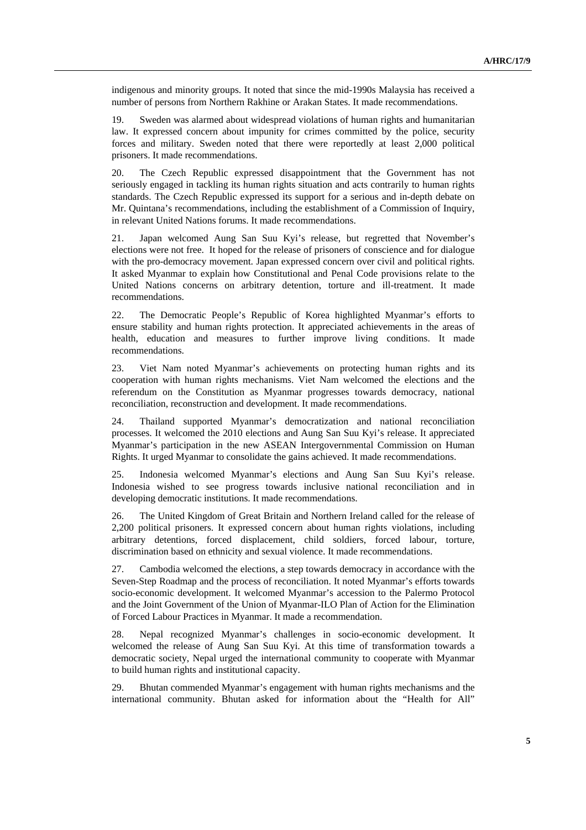indigenous and minority groups. It noted that since the mid-1990s Malaysia has received a number of persons from Northern Rakhine or Arakan States. It made recommendations.

19. Sweden was alarmed about widespread violations of human rights and humanitarian law. It expressed concern about impunity for crimes committed by the police, security forces and military. Sweden noted that there were reportedly at least 2,000 political prisoners. It made recommendations.

20. The Czech Republic expressed disappointment that the Government has not seriously engaged in tackling its human rights situation and acts contrarily to human rights standards. The Czech Republic expressed its support for a serious and in-depth debate on Mr. Quintana's recommendations, including the establishment of a Commission of Inquiry, in relevant United Nations forums. It made recommendations.

21. Japan welcomed Aung San Suu Kyi's release, but regretted that November's elections were not free. It hoped for the release of prisoners of conscience and for dialogue with the pro-democracy movement. Japan expressed concern over civil and political rights. It asked Myanmar to explain how Constitutional and Penal Code provisions relate to the United Nations concerns on arbitrary detention, torture and ill-treatment. It made recommendations.

22. The Democratic People's Republic of Korea highlighted Myanmar's efforts to ensure stability and human rights protection. It appreciated achievements in the areas of health, education and measures to further improve living conditions. It made recommendations.

23. Viet Nam noted Myanmar's achievements on protecting human rights and its cooperation with human rights mechanisms. Viet Nam welcomed the elections and the referendum on the Constitution as Myanmar progresses towards democracy, national reconciliation, reconstruction and development. It made recommendations.

24. Thailand supported Myanmar's democratization and national reconciliation processes. It welcomed the 2010 elections and Aung San Suu Kyi's release. It appreciated Myanmar's participation in the new ASEAN Intergovernmental Commission on Human Rights. It urged Myanmar to consolidate the gains achieved. It made recommendations.

25. Indonesia welcomed Myanmar's elections and Aung San Suu Kyi's release. Indonesia wished to see progress towards inclusive national reconciliation and in developing democratic institutions. It made recommendations.

26. The United Kingdom of Great Britain and Northern Ireland called for the release of 2,200 political prisoners. It expressed concern about human rights violations, including arbitrary detentions, forced displacement, child soldiers, forced labour, torture, discrimination based on ethnicity and sexual violence. It made recommendations.

27. Cambodia welcomed the elections, a step towards democracy in accordance with the Seven-Step Roadmap and the process of reconciliation. It noted Myanmar's efforts towards socio-economic development. It welcomed Myanmar's accession to the Palermo Protocol and the Joint Government of the Union of Myanmar-ILO Plan of Action for the Elimination of Forced Labour Practices in Myanmar. It made a recommendation.

28. Nepal recognized Myanmar's challenges in socio-economic development. It welcomed the release of Aung San Suu Kyi. At this time of transformation towards a democratic society, Nepal urged the international community to cooperate with Myanmar to build human rights and institutional capacity.

29. Bhutan commended Myanmar's engagement with human rights mechanisms and the international community. Bhutan asked for information about the "Health for All"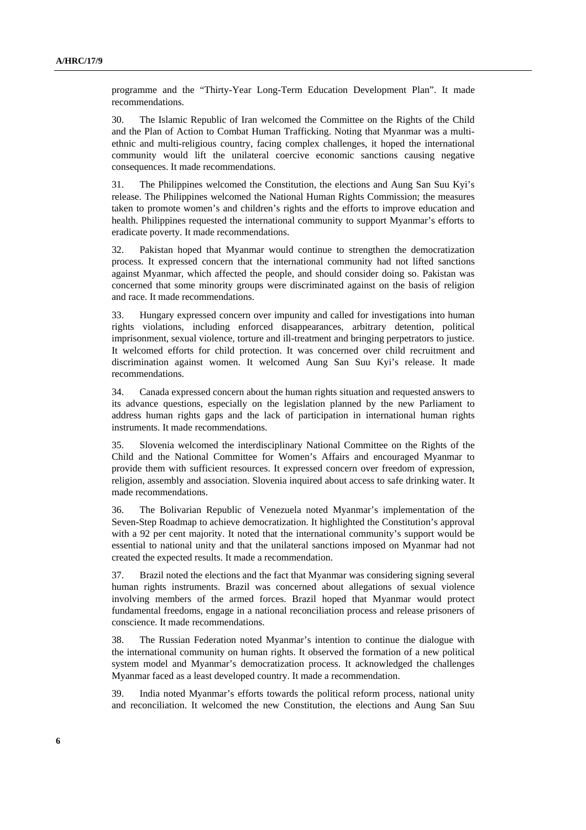programme and the "Thirty-Year Long-Term Education Development Plan". It made recommendations.

30. The Islamic Republic of Iran welcomed the Committee on the Rights of the Child and the Plan of Action to Combat Human Trafficking. Noting that Myanmar was a multiethnic and multi-religious country, facing complex challenges, it hoped the international community would lift the unilateral coercive economic sanctions causing negative consequences. It made recommendations.

31. The Philippines welcomed the Constitution, the elections and Aung San Suu Kyi's release. The Philippines welcomed the National Human Rights Commission; the measures taken to promote women's and children's rights and the efforts to improve education and health. Philippines requested the international community to support Myanmar's efforts to eradicate poverty. It made recommendations.

32. Pakistan hoped that Myanmar would continue to strengthen the democratization process. It expressed concern that the international community had not lifted sanctions against Myanmar, which affected the people, and should consider doing so. Pakistan was concerned that some minority groups were discriminated against on the basis of religion and race. It made recommendations.

33. Hungary expressed concern over impunity and called for investigations into human rights violations, including enforced disappearances, arbitrary detention, political imprisonment, sexual violence, torture and ill-treatment and bringing perpetrators to justice. It welcomed efforts for child protection. It was concerned over child recruitment and discrimination against women. It welcomed Aung San Suu Kyi's release. It made recommendations.

34. Canada expressed concern about the human rights situation and requested answers to its advance questions, especially on the legislation planned by the new Parliament to address human rights gaps and the lack of participation in international human rights instruments. It made recommendations.

35. Slovenia welcomed the interdisciplinary National Committee on the Rights of the Child and the National Committee for Women's Affairs and encouraged Myanmar to provide them with sufficient resources. It expressed concern over freedom of expression, religion, assembly and association. Slovenia inquired about access to safe drinking water. It made recommendations.

36. The Bolivarian Republic of Venezuela noted Myanmar's implementation of the Seven-Step Roadmap to achieve democratization. It highlighted the Constitution's approval with a 92 per cent majority. It noted that the international community's support would be essential to national unity and that the unilateral sanctions imposed on Myanmar had not created the expected results. It made a recommendation.

37. Brazil noted the elections and the fact that Myanmar was considering signing several human rights instruments. Brazil was concerned about allegations of sexual violence involving members of the armed forces. Brazil hoped that Myanmar would protect fundamental freedoms, engage in a national reconciliation process and release prisoners of conscience. It made recommendations.

38. The Russian Federation noted Myanmar's intention to continue the dialogue with the international community on human rights. It observed the formation of a new political system model and Myanmar's democratization process. It acknowledged the challenges Myanmar faced as a least developed country. It made a recommendation.

39. India noted Myanmar's efforts towards the political reform process, national unity and reconciliation. It welcomed the new Constitution, the elections and Aung San Suu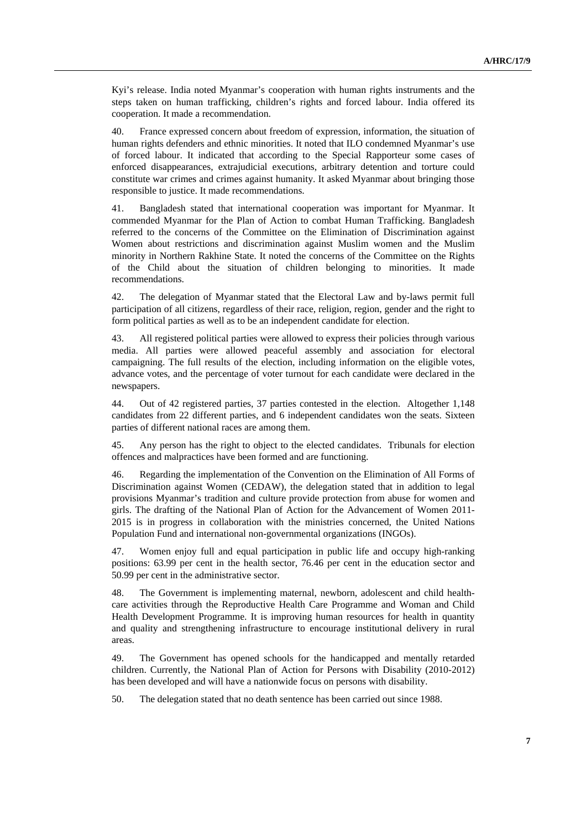Kyi's release. India noted Myanmar's cooperation with human rights instruments and the steps taken on human trafficking, children's rights and forced labour. India offered its cooperation. It made a recommendation.

40. France expressed concern about freedom of expression, information, the situation of human rights defenders and ethnic minorities. It noted that ILO condemned Myanmar's use of forced labour. It indicated that according to the Special Rapporteur some cases of enforced disappearances, extrajudicial executions, arbitrary detention and torture could constitute war crimes and crimes against humanity. It asked Myanmar about bringing those responsible to justice. It made recommendations.

41. Bangladesh stated that international cooperation was important for Myanmar. It commended Myanmar for the Plan of Action to combat Human Trafficking. Bangladesh referred to the concerns of the Committee on the Elimination of Discrimination against Women about restrictions and discrimination against Muslim women and the Muslim minority in Northern Rakhine State. It noted the concerns of the Committee on the Rights of the Child about the situation of children belonging to minorities. It made recommendations.

42. The delegation of Myanmar stated that the Electoral Law and by-laws permit full participation of all citizens, regardless of their race, religion, region, gender and the right to form political parties as well as to be an independent candidate for election.

43. All registered political parties were allowed to express their policies through various media. All parties were allowed peaceful assembly and association for electoral campaigning. The full results of the election, including information on the eligible votes, advance votes, and the percentage of voter turnout for each candidate were declared in the newspapers.

44. Out of 42 registered parties, 37 parties contested in the election. Altogether 1,148 candidates from 22 different parties, and 6 independent candidates won the seats. Sixteen parties of different national races are among them.

45. Any person has the right to object to the elected candidates. Tribunals for election offences and malpractices have been formed and are functioning.

46. Regarding the implementation of the Convention on the Elimination of All Forms of Discrimination against Women (CEDAW), the delegation stated that in addition to legal provisions Myanmar's tradition and culture provide protection from abuse for women and girls. The drafting of the National Plan of Action for the Advancement of Women 2011- 2015 is in progress in collaboration with the ministries concerned, the United Nations Population Fund and international non-governmental organizations (INGOs).

47. Women enjoy full and equal participation in public life and occupy high-ranking positions: 63.99 per cent in the health sector, 76.46 per cent in the education sector and 50.99 per cent in the administrative sector.

48. The Government is implementing maternal, newborn, adolescent and child healthcare activities through the Reproductive Health Care Programme and Woman and Child Health Development Programme. It is improving human resources for health in quantity and quality and strengthening infrastructure to encourage institutional delivery in rural areas.

49. The Government has opened schools for the handicapped and mentally retarded children. Currently, the National Plan of Action for Persons with Disability (2010-2012) has been developed and will have a nationwide focus on persons with disability.

50. The delegation stated that no death sentence has been carried out since 1988.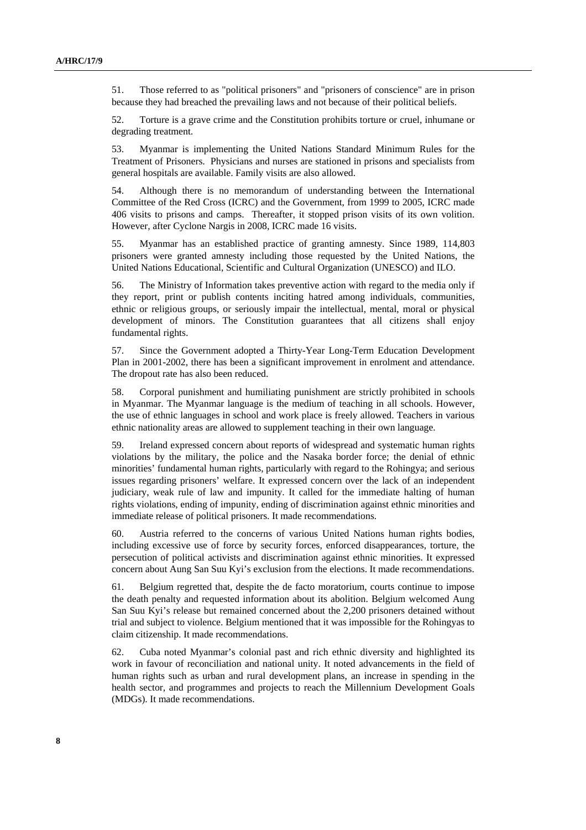51. Those referred to as "political prisoners" and "prisoners of conscience" are in prison because they had breached the prevailing laws and not because of their political beliefs.

52. Torture is a grave crime and the Constitution prohibits torture or cruel, inhumane or degrading treatment.

53. Myanmar is implementing the United Nations Standard Minimum Rules for the Treatment of Prisoners. Physicians and nurses are stationed in prisons and specialists from general hospitals are available. Family visits are also allowed.

54. Although there is no memorandum of understanding between the International Committee of the Red Cross (ICRC) and the Government, from 1999 to 2005, ICRC made 406 visits to prisons and camps. Thereafter, it stopped prison visits of its own volition. However, after Cyclone Nargis in 2008, ICRC made 16 visits.

55. Myanmar has an established practice of granting amnesty. Since 1989, 114,803 prisoners were granted amnesty including those requested by the United Nations, the United Nations Educational, Scientific and Cultural Organization (UNESCO) and ILO.

56. The Ministry of Information takes preventive action with regard to the media only if they report, print or publish contents inciting hatred among individuals, communities, ethnic or religious groups, or seriously impair the intellectual, mental, moral or physical development of minors. The Constitution guarantees that all citizens shall enjoy fundamental rights.

57. Since the Government adopted a Thirty-Year Long-Term Education Development Plan in 2001-2002, there has been a significant improvement in enrolment and attendance. The dropout rate has also been reduced.

58. Corporal punishment and humiliating punishment are strictly prohibited in schools in Myanmar. The Myanmar language is the medium of teaching in all schools. However, the use of ethnic languages in school and work place is freely allowed. Teachers in various ethnic nationality areas are allowed to supplement teaching in their own language.

59. Ireland expressed concern about reports of widespread and systematic human rights violations by the military, the police and the Nasaka border force; the denial of ethnic minorities' fundamental human rights, particularly with regard to the Rohingya; and serious issues regarding prisoners' welfare. It expressed concern over the lack of an independent judiciary, weak rule of law and impunity. It called for the immediate halting of human rights violations, ending of impunity, ending of discrimination against ethnic minorities and immediate release of political prisoners. It made recommendations.

60. Austria referred to the concerns of various United Nations human rights bodies, including excessive use of force by security forces, enforced disappearances, torture, the persecution of political activists and discrimination against ethnic minorities. It expressed concern about Aung San Suu Kyi's exclusion from the elections. It made recommendations.

61. Belgium regretted that, despite the de facto moratorium, courts continue to impose the death penalty and requested information about its abolition. Belgium welcomed Aung San Suu Kyi's release but remained concerned about the 2,200 prisoners detained without trial and subject to violence. Belgium mentioned that it was impossible for the Rohingyas to claim citizenship. It made recommendations.

62. Cuba noted Myanmar's colonial past and rich ethnic diversity and highlighted its work in favour of reconciliation and national unity. It noted advancements in the field of human rights such as urban and rural development plans, an increase in spending in the health sector, and programmes and projects to reach the Millennium Development Goals (MDGs). It made recommendations.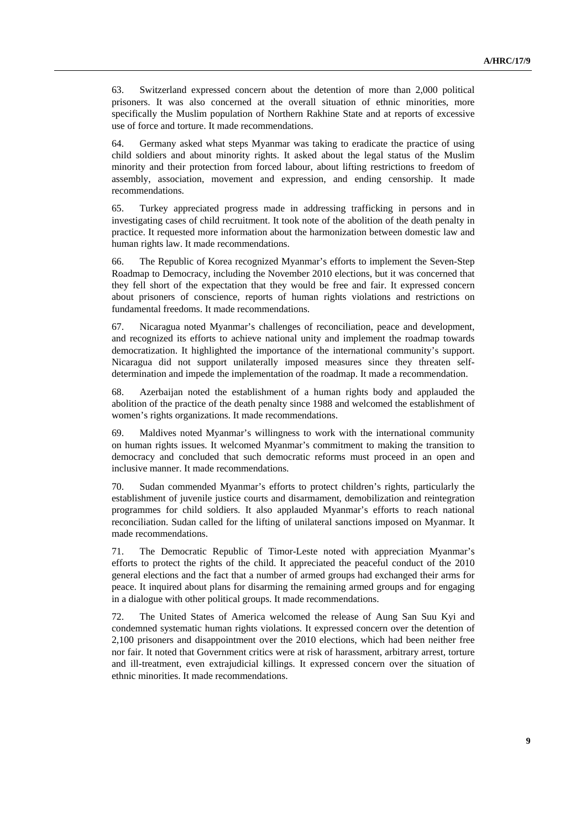63. Switzerland expressed concern about the detention of more than 2,000 political prisoners. It was also concerned at the overall situation of ethnic minorities, more specifically the Muslim population of Northern Rakhine State and at reports of excessive use of force and torture. It made recommendations.

64. Germany asked what steps Myanmar was taking to eradicate the practice of using child soldiers and about minority rights. It asked about the legal status of the Muslim minority and their protection from forced labour, about lifting restrictions to freedom of assembly, association, movement and expression, and ending censorship. It made recommendations.

65. Turkey appreciated progress made in addressing trafficking in persons and in investigating cases of child recruitment. It took note of the abolition of the death penalty in practice. It requested more information about the harmonization between domestic law and human rights law. It made recommendations.

66. The Republic of Korea recognized Myanmar's efforts to implement the Seven-Step Roadmap to Democracy, including the November 2010 elections, but it was concerned that they fell short of the expectation that they would be free and fair. It expressed concern about prisoners of conscience, reports of human rights violations and restrictions on fundamental freedoms. It made recommendations.

67. Nicaragua noted Myanmar's challenges of reconciliation, peace and development, and recognized its efforts to achieve national unity and implement the roadmap towards democratization. It highlighted the importance of the international community's support. Nicaragua did not support unilaterally imposed measures since they threaten selfdetermination and impede the implementation of the roadmap. It made a recommendation.

68. Azerbaijan noted the establishment of a human rights body and applauded the abolition of the practice of the death penalty since 1988 and welcomed the establishment of women's rights organizations. It made recommendations.

69. Maldives noted Myanmar's willingness to work with the international community on human rights issues. It welcomed Myanmar's commitment to making the transition to democracy and concluded that such democratic reforms must proceed in an open and inclusive manner. It made recommendations.

70. Sudan commended Myanmar's efforts to protect children's rights, particularly the establishment of juvenile justice courts and disarmament, demobilization and reintegration programmes for child soldiers. It also applauded Myanmar's efforts to reach national reconciliation. Sudan called for the lifting of unilateral sanctions imposed on Myanmar. It made recommendations.

71. The Democratic Republic of Timor-Leste noted with appreciation Myanmar's efforts to protect the rights of the child. It appreciated the peaceful conduct of the 2010 general elections and the fact that a number of armed groups had exchanged their arms for peace. It inquired about plans for disarming the remaining armed groups and for engaging in a dialogue with other political groups. It made recommendations.

72. The United States of America welcomed the release of Aung San Suu Kyi and condemned systematic human rights violations. It expressed concern over the detention of 2,100 prisoners and disappointment over the 2010 elections, which had been neither free nor fair. It noted that Government critics were at risk of harassment, arbitrary arrest, torture and ill-treatment, even extrajudicial killings. It expressed concern over the situation of ethnic minorities. It made recommendations.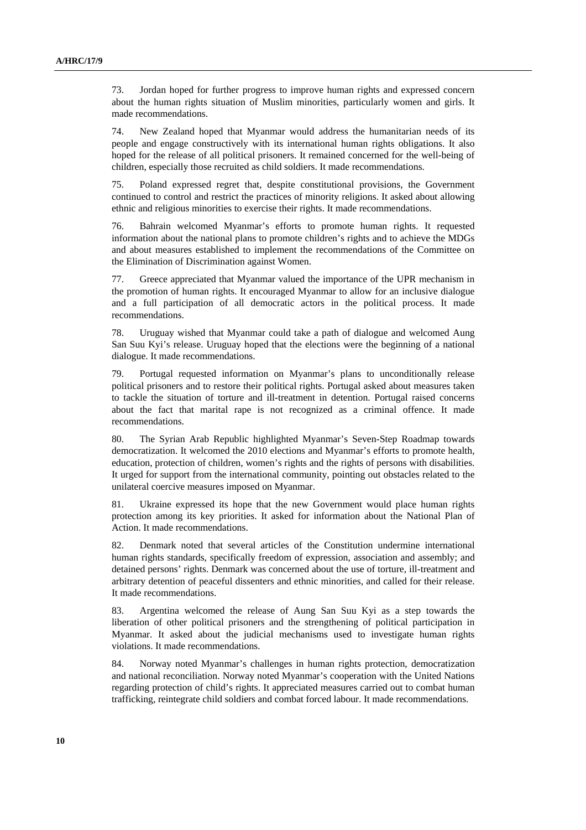73. Jordan hoped for further progress to improve human rights and expressed concern about the human rights situation of Muslim minorities, particularly women and girls. It made recommendations.

74. New Zealand hoped that Myanmar would address the humanitarian needs of its people and engage constructively with its international human rights obligations. It also hoped for the release of all political prisoners. It remained concerned for the well-being of children, especially those recruited as child soldiers. It made recommendations.

75. Poland expressed regret that, despite constitutional provisions, the Government continued to control and restrict the practices of minority religions. It asked about allowing ethnic and religious minorities to exercise their rights. It made recommendations.

76. Bahrain welcomed Myanmar's efforts to promote human rights. It requested information about the national plans to promote children's rights and to achieve the MDGs and about measures established to implement the recommendations of the Committee on the Elimination of Discrimination against Women.

77. Greece appreciated that Myanmar valued the importance of the UPR mechanism in the promotion of human rights. It encouraged Myanmar to allow for an inclusive dialogue and a full participation of all democratic actors in the political process. It made recommendations.

78. Uruguay wished that Myanmar could take a path of dialogue and welcomed Aung San Suu Kyi's release. Uruguay hoped that the elections were the beginning of a national dialogue. It made recommendations.

79. Portugal requested information on Myanmar's plans to unconditionally release political prisoners and to restore their political rights. Portugal asked about measures taken to tackle the situation of torture and ill-treatment in detention. Portugal raised concerns about the fact that marital rape is not recognized as a criminal offence. It made recommendations.

80. The Syrian Arab Republic highlighted Myanmar's Seven-Step Roadmap towards democratization. It welcomed the 2010 elections and Myanmar's efforts to promote health, education, protection of children, women's rights and the rights of persons with disabilities. It urged for support from the international community, pointing out obstacles related to the unilateral coercive measures imposed on Myanmar.

81. Ukraine expressed its hope that the new Government would place human rights protection among its key priorities. It asked for information about the National Plan of Action. It made recommendations.

82. Denmark noted that several articles of the Constitution undermine international human rights standards, specifically freedom of expression, association and assembly; and detained persons' rights. Denmark was concerned about the use of torture, ill-treatment and arbitrary detention of peaceful dissenters and ethnic minorities, and called for their release. It made recommendations.

83. Argentina welcomed the release of Aung San Suu Kyi as a step towards the liberation of other political prisoners and the strengthening of political participation in Myanmar. It asked about the judicial mechanisms used to investigate human rights violations. It made recommendations.

84. Norway noted Myanmar's challenges in human rights protection, democratization and national reconciliation. Norway noted Myanmar's cooperation with the United Nations regarding protection of child's rights. It appreciated measures carried out to combat human trafficking, reintegrate child soldiers and combat forced labour. It made recommendations.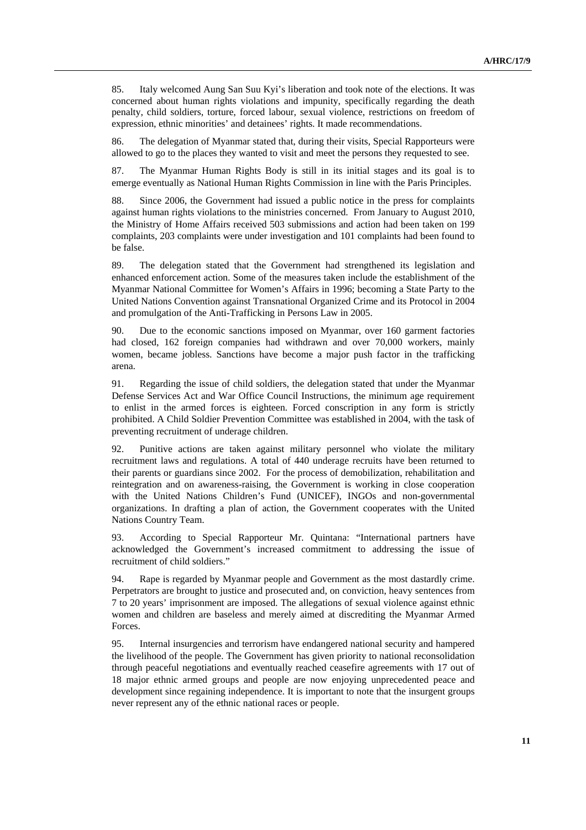85. Italy welcomed Aung San Suu Kyi's liberation and took note of the elections. It was concerned about human rights violations and impunity, specifically regarding the death penalty, child soldiers, torture, forced labour, sexual violence, restrictions on freedom of expression, ethnic minorities' and detainees' rights. It made recommendations.

86. The delegation of Myanmar stated that, during their visits, Special Rapporteurs were allowed to go to the places they wanted to visit and meet the persons they requested to see.

87. The Myanmar Human Rights Body is still in its initial stages and its goal is to emerge eventually as National Human Rights Commission in line with the Paris Principles.

88. Since 2006, the Government had issued a public notice in the press for complaints against human rights violations to the ministries concerned. From January to August 2010, the Ministry of Home Affairs received 503 submissions and action had been taken on 199 complaints, 203 complaints were under investigation and 101 complaints had been found to be false.

89. The delegation stated that the Government had strengthened its legislation and enhanced enforcement action. Some of the measures taken include the establishment of the Myanmar National Committee for Women's Affairs in 1996; becoming a State Party to the United Nations Convention against Transnational Organized Crime and its Protocol in 2004 and promulgation of the Anti-Trafficking in Persons Law in 2005.

90. Due to the economic sanctions imposed on Myanmar, over 160 garment factories had closed, 162 foreign companies had withdrawn and over 70,000 workers, mainly women, became jobless. Sanctions have become a major push factor in the trafficking arena.

91. Regarding the issue of child soldiers, the delegation stated that under the Myanmar Defense Services Act and War Office Council Instructions, the minimum age requirement to enlist in the armed forces is eighteen. Forced conscription in any form is strictly prohibited. A Child Soldier Prevention Committee was established in 2004, with the task of preventing recruitment of underage children.

92. Punitive actions are taken against military personnel who violate the military recruitment laws and regulations. A total of 440 underage recruits have been returned to their parents or guardians since 2002. For the process of demobilization, rehabilitation and reintegration and on awareness-raising, the Government is working in close cooperation with the United Nations Children's Fund (UNICEF), INGOs and non-governmental organizations. In drafting a plan of action, the Government cooperates with the United Nations Country Team.

93. According to Special Rapporteur Mr. Quintana: "International partners have acknowledged the Government's increased commitment to addressing the issue of recruitment of child soldiers."

94. Rape is regarded by Myanmar people and Government as the most dastardly crime. Perpetrators are brought to justice and prosecuted and, on conviction, heavy sentences from 7 to 20 years' imprisonment are imposed. The allegations of sexual violence against ethnic women and children are baseless and merely aimed at discrediting the Myanmar Armed Forces.

95. Internal insurgencies and terrorism have endangered national security and hampered the livelihood of the people. The Government has given priority to national reconsolidation through peaceful negotiations and eventually reached ceasefire agreements with 17 out of 18 major ethnic armed groups and people are now enjoying unprecedented peace and development since regaining independence. It is important to note that the insurgent groups never represent any of the ethnic national races or people.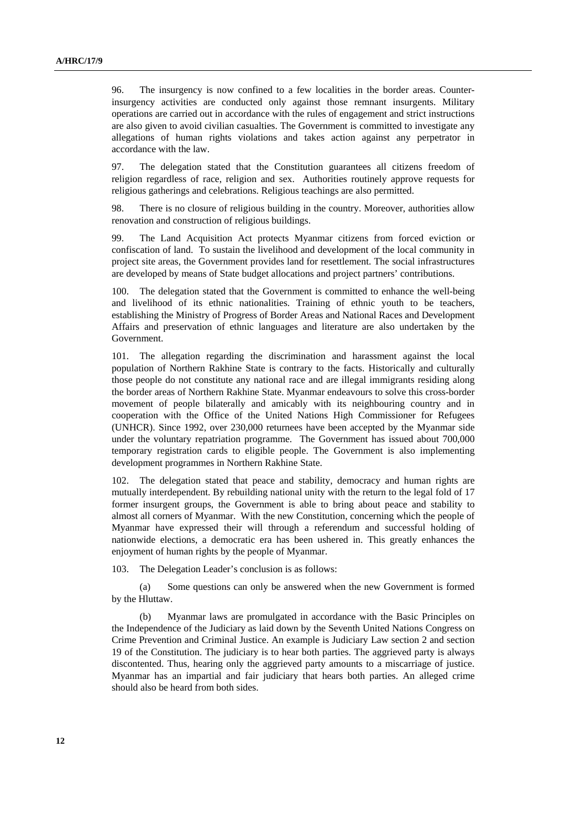96. The insurgency is now confined to a few localities in the border areas. Counterinsurgency activities are conducted only against those remnant insurgents. Military operations are carried out in accordance with the rules of engagement and strict instructions are also given to avoid civilian casualties. The Government is committed to investigate any allegations of human rights violations and takes action against any perpetrator in accordance with the law.

97. The delegation stated that the Constitution guarantees all citizens freedom of religion regardless of race, religion and sex. Authorities routinely approve requests for religious gatherings and celebrations. Religious teachings are also permitted.

98. There is no closure of religious building in the country. Moreover, authorities allow renovation and construction of religious buildings.

99. The Land Acquisition Act protects Myanmar citizens from forced eviction or confiscation of land. To sustain the livelihood and development of the local community in project site areas, the Government provides land for resettlement. The social infrastructures are developed by means of State budget allocations and project partners' contributions.

100. The delegation stated that the Government is committed to enhance the well-being and livelihood of its ethnic nationalities. Training of ethnic youth to be teachers, establishing the Ministry of Progress of Border Areas and National Races and Development Affairs and preservation of ethnic languages and literature are also undertaken by the Government.

101. The allegation regarding the discrimination and harassment against the local population of Northern Rakhine State is contrary to the facts. Historically and culturally those people do not constitute any national race and are illegal immigrants residing along the border areas of Northern Rakhine State. Myanmar endeavours to solve this cross-border movement of people bilaterally and amicably with its neighbouring country and in cooperation with the Office of the United Nations High Commissioner for Refugees (UNHCR). Since 1992, over 230,000 returnees have been accepted by the Myanmar side under the voluntary repatriation programme. The Government has issued about 700,000 temporary registration cards to eligible people. The Government is also implementing development programmes in Northern Rakhine State.

102. The delegation stated that peace and stability, democracy and human rights are mutually interdependent. By rebuilding national unity with the return to the legal fold of 17 former insurgent groups, the Government is able to bring about peace and stability to almost all corners of Myanmar. With the new Constitution, concerning which the people of Myanmar have expressed their will through a referendum and successful holding of nationwide elections, a democratic era has been ushered in. This greatly enhances the enjoyment of human rights by the people of Myanmar.

103. The Delegation Leader's conclusion is as follows:

 (a) Some questions can only be answered when the new Government is formed by the Hluttaw.

 (b) Myanmar laws are promulgated in accordance with the Basic Principles on the Independence of the Judiciary as laid down by the Seventh United Nations Congress on Crime Prevention and Criminal Justice. An example is Judiciary Law section 2 and section 19 of the Constitution. The judiciary is to hear both parties. The aggrieved party is always discontented. Thus, hearing only the aggrieved party amounts to a miscarriage of justice. Myanmar has an impartial and fair judiciary that hears both parties. An alleged crime should also be heard from both sides.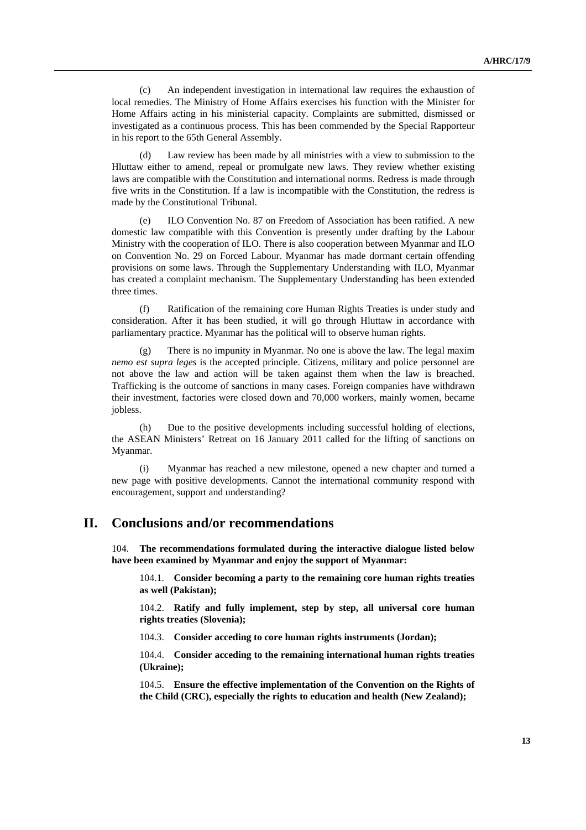(c) An independent investigation in international law requires the exhaustion of local remedies. The Ministry of Home Affairs exercises his function with the Minister for Home Affairs acting in his ministerial capacity. Complaints are submitted, dismissed or investigated as a continuous process. This has been commended by the Special Rapporteur in his report to the 65th General Assembly.

 (d) Law review has been made by all ministries with a view to submission to the Hluttaw either to amend, repeal or promulgate new laws. They review whether existing laws are compatible with the Constitution and international norms. Redress is made through five writs in the Constitution. If a law is incompatible with the Constitution, the redress is made by the Constitutional Tribunal.

 (e) ILO Convention No. 87 on Freedom of Association has been ratified. A new domestic law compatible with this Convention is presently under drafting by the Labour Ministry with the cooperation of ILO. There is also cooperation between Myanmar and ILO on Convention No. 29 on Forced Labour. Myanmar has made dormant certain offending provisions on some laws. Through the Supplementary Understanding with ILO, Myanmar has created a complaint mechanism. The Supplementary Understanding has been extended three times.

 (f) Ratification of the remaining core Human Rights Treaties is under study and consideration. After it has been studied, it will go through Hluttaw in accordance with parliamentary practice. Myanmar has the political will to observe human rights.

There is no impunity in Myanmar. No one is above the law. The legal maxim *nemo est supra leges* is the accepted principle. Citizens, military and police personnel are not above the law and action will be taken against them when the law is breached. Trafficking is the outcome of sanctions in many cases. Foreign companies have withdrawn their investment, factories were closed down and 70,000 workers, mainly women, became jobless.

 (h) Due to the positive developments including successful holding of elections, the ASEAN Ministers' Retreat on 16 January 2011 called for the lifting of sanctions on Myanmar.

 (i) Myanmar has reached a new milestone, opened a new chapter and turned a new page with positive developments. Cannot the international community respond with encouragement, support and understanding?

## **II. Conclusions and/or recommendations**

104. **The recommendations formulated during the interactive dialogue listed below have been examined by Myanmar and enjoy the support of Myanmar:**

104.1. **Consider becoming a party to the remaining core human rights treaties as well (Pakistan);**

104.2. **Ratify and fully implement, step by step, all universal core human rights treaties (Slovenia);**

104.3. **Consider acceding to core human rights instruments (Jordan);**

104.4. **Consider acceding to the remaining international human rights treaties (Ukraine);**

104.5. **Ensure the effective implementation of the Convention on the Rights of the Child (CRC), especially the rights to education and health (New Zealand);**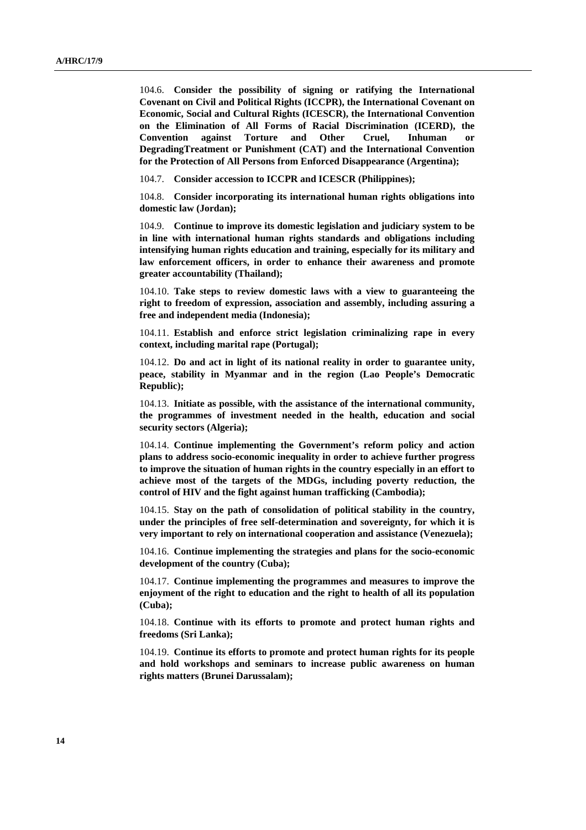104.6. **Consider the possibility of signing or ratifying the International Covenant on Civil and Political Rights (ICCPR), the International Covenant on Economic, Social and Cultural Rights (ICESCR), the International Convention on the Elimination of All Forms of Racial Discrimination (ICERD), the Convention against Torture and Other Cruel, Inhuman or DegradingTreatment or Punishment (CAT) and the International Convention for the Protection of All Persons from Enforced Disappearance (Argentina);**

104.7. **Consider accession to ICCPR and ICESCR (Philippines);**

104.8. **Consider incorporating its international human rights obligations into domestic law (Jordan);**

104.9. **Continue to improve its domestic legislation and judiciary system to be in line with international human rights standards and obligations including intensifying human rights education and training, especially for its military and law enforcement officers, in order to enhance their awareness and promote greater accountability (Thailand);**

104.10. **Take steps to review domestic laws with a view to guaranteeing the right to freedom of expression, association and assembly, including assuring a free and independent media (Indonesia);**

104.11. **Establish and enforce strict legislation criminalizing rape in every context, including marital rape (Portugal);**

104.12. **Do and act in light of its national reality in order to guarantee unity, peace, stability in Myanmar and in the region (Lao People's Democratic Republic);**

104.13. **Initiate as possible, with the assistance of the international community, the programmes of investment needed in the health, education and social security sectors (Algeria);**

104.14. **Continue implementing the Government's reform policy and action plans to address socio-economic inequality in order to achieve further progress to improve the situation of human rights in the country especially in an effort to achieve most of the targets of the MDGs, including poverty reduction, the control of HIV and the fight against human trafficking (Cambodia);**

104.15. **Stay on the path of consolidation of political stability in the country, under the principles of free self-determination and sovereignty, for which it is very important to rely on international cooperation and assistance (Venezuela);**

104.16. **Continue implementing the strategies and plans for the socio-economic development of the country (Cuba);**

104.17. **Continue implementing the programmes and measures to improve the enjoyment of the right to education and the right to health of all its population (Cuba);**

104.18. **Continue with its efforts to promote and protect human rights and freedoms (Sri Lanka);**

104.19. **Continue its efforts to promote and protect human rights for its people and hold workshops and seminars to increase public awareness on human rights matters (Brunei Darussalam);**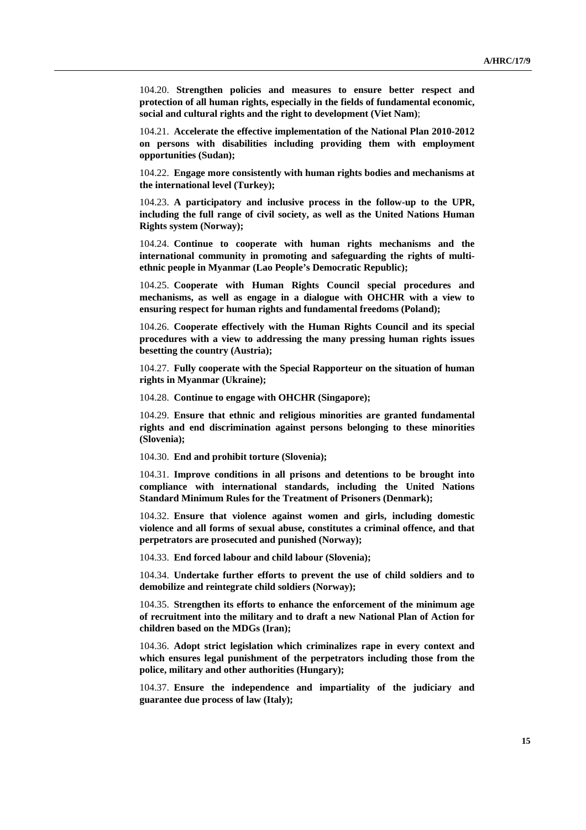104.20. **Strengthen policies and measures to ensure better respect and protection of all human rights, especially in the fields of fundamental economic, social and cultural rights and the right to development (Viet Nam)**;

104.21. **Accelerate the effective implementation of the National Plan 2010-2012 on persons with disabilities including providing them with employment opportunities (Sudan);**

104.22. **Engage more consistently with human rights bodies and mechanisms at the international level (Turkey);**

104.23. **A participatory and inclusive process in the follow-up to the UPR, including the full range of civil society, as well as the United Nations Human Rights system (Norway);**

104.24. **Continue to cooperate with human rights mechanisms and the international community in promoting and safeguarding the rights of multiethnic people in Myanmar (Lao People's Democratic Republic);**

104.25. **Cooperate with Human Rights Council special procedures and mechanisms, as well as engage in a dialogue with OHCHR with a view to ensuring respect for human rights and fundamental freedoms (Poland);**

104.26. **Cooperate effectively with the Human Rights Council and its special procedures with a view to addressing the many pressing human rights issues besetting the country (Austria);**

104.27. **Fully cooperate with the Special Rapporteur on the situation of human rights in Myanmar (Ukraine);**

104.28. **Continue to engage with OHCHR (Singapore);**

104.29. **Ensure that ethnic and religious minorities are granted fundamental rights and end discrimination against persons belonging to these minorities (Slovenia);**

104.30. **End and prohibit torture (Slovenia);**

104.31. **Improve conditions in all prisons and detentions to be brought into compliance with international standards, including the United Nations Standard Minimum Rules for the Treatment of Prisoners (Denmark);**

104.32. **Ensure that violence against women and girls, including domestic violence and all forms of sexual abuse, constitutes a criminal offence, and that perpetrators are prosecuted and punished (Norway);**

104.33. **End forced labour and child labour (Slovenia);**

104.34. **Undertake further efforts to prevent the use of child soldiers and to demobilize and reintegrate child soldiers (Norway);**

104.35. **Strengthen its efforts to enhance the enforcement of the minimum age of recruitment into the military and to draft a new National Plan of Action for children based on the MDGs (Iran);**

104.36. **Adopt strict legislation which criminalizes rape in every context and which ensures legal punishment of the perpetrators including those from the police, military and other authorities (Hungary);**

104.37. **Ensure the independence and impartiality of the judiciary and guarantee due process of law (Italy);**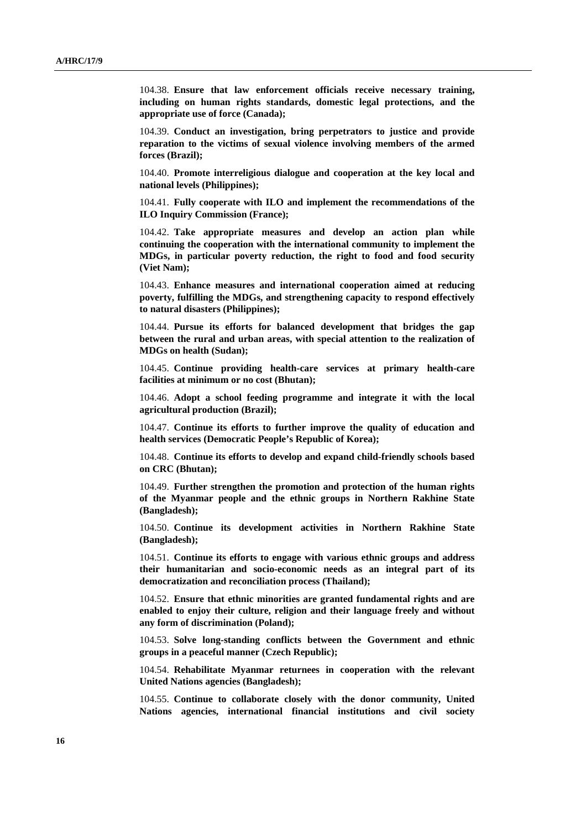104.38. **Ensure that law enforcement officials receive necessary training, including on human rights standards, domestic legal protections, and the appropriate use of force (Canada);**

104.39. **Conduct an investigation, bring perpetrators to justice and provide reparation to the victims of sexual violence involving members of the armed forces (Brazil);**

104.40. **Promote interreligious dialogue and cooperation at the key local and national levels (Philippines);**

104.41. **Fully cooperate with ILO and implement the recommendations of the ILO Inquiry Commission (France);**

104.42. **Take appropriate measures and develop an action plan while continuing the cooperation with the international community to implement the MDGs, in particular poverty reduction, the right to food and food security (Viet Nam);**

104.43. **Enhance measures and international cooperation aimed at reducing poverty, fulfilling the MDGs, and strengthening capacity to respond effectively to natural disasters (Philippines);**

104.44. **Pursue its efforts for balanced development that bridges the gap between the rural and urban areas, with special attention to the realization of MDGs on health (Sudan);**

104.45. **Continue providing health-care services at primary health-care facilities at minimum or no cost (Bhutan);**

104.46. **Adopt a school feeding programme and integrate it with the local agricultural production (Brazil);**

104.47. **Continue its efforts to further improve the quality of education and health services (Democratic People's Republic of Korea);**

104.48. **Continue its efforts to develop and expand child-friendly schools based on CRC (Bhutan);**

104.49. **Further strengthen the promotion and protection of the human rights of the Myanmar people and the ethnic groups in Northern Rakhine State (Bangladesh);**

104.50. **Continue its development activities in Northern Rakhine State (Bangladesh);**

104.51. **Continue its efforts to engage with various ethnic groups and address their humanitarian and socio-economic needs as an integral part of its democratization and reconciliation process (Thailand);**

104.52. **Ensure that ethnic minorities are granted fundamental rights and are enabled to enjoy their culture, religion and their language freely and without any form of discrimination (Poland);**

104.53. **Solve long-standing conflicts between the Government and ethnic groups in a peaceful manner (Czech Republic);**

104.54. **Rehabilitate Myanmar returnees in cooperation with the relevant United Nations agencies (Bangladesh);**

104.55. **Continue to collaborate closely with the donor community, United Nations agencies, international financial institutions and civil society**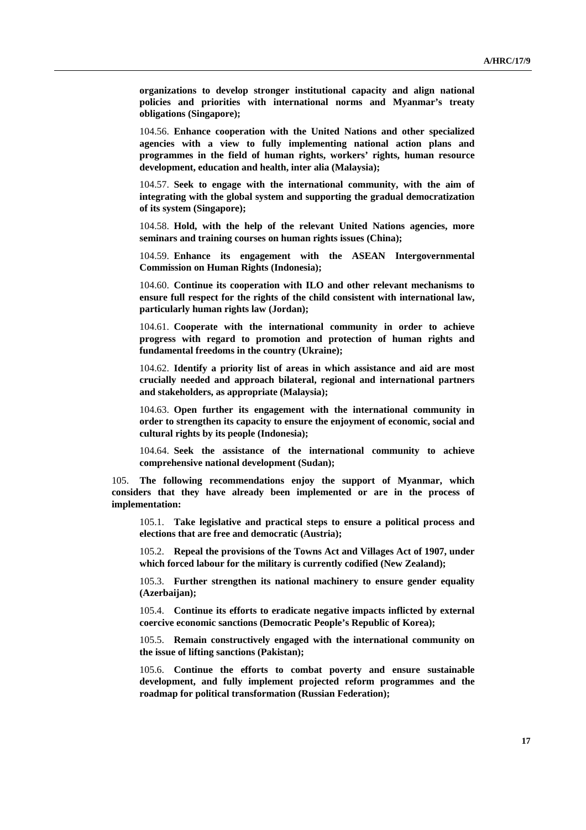**organizations to develop stronger institutional capacity and align national policies and priorities with international norms and Myanmar's treaty obligations (Singapore);**

104.56. **Enhance cooperation with the United Nations and other specialized agencies with a view to fully implementing national action plans and programmes in the field of human rights, workers' rights, human resource development, education and health, inter alia (Malaysia);**

104.57. **Seek to engage with the international community, with the aim of integrating with the global system and supporting the gradual democratization of its system (Singapore);**

104.58. **Hold, with the help of the relevant United Nations agencies, more seminars and training courses on human rights issues (China);**

104.59. **Enhance its engagement with the ASEAN Intergovernmental Commission on Human Rights (Indonesia);**

104.60. **Continue its cooperation with ILO and other relevant mechanisms to ensure full respect for the rights of the child consistent with international law, particularly human rights law (Jordan);**

104.61. **Cooperate with the international community in order to achieve progress with regard to promotion and protection of human rights and fundamental freedoms in the country (Ukraine);**

104.62. **Identify a priority list of areas in which assistance and aid are most crucially needed and approach bilateral, regional and international partners and stakeholders, as appropriate (Malaysia);**

104.63. **Open further its engagement with the international community in order to strengthen its capacity to ensure the enjoyment of economic, social and cultural rights by its people (Indonesia);**

104.64. **Seek the assistance of the international community to achieve comprehensive national development (Sudan);**

105. **The following recommendations enjoy the support of Myanmar, which considers that they have already been implemented or are in the process of implementation:** 

105.1. **Take legislative and practical steps to ensure a political process and elections that are free and democratic (Austria);** 

105.2. **Repeal the provisions of the Towns Act and Villages Act of 1907, under which forced labour for the military is currently codified (New Zealand);** 

105.3. **Further strengthen its national machinery to ensure gender equality (Azerbaijan);** 

105.4. **Continue its efforts to eradicate negative impacts inflicted by external coercive economic sanctions (Democratic People's Republic of Korea);** 

105.5. **Remain constructively engaged with the international community on the issue of lifting sanctions (Pakistan);** 

105.6. **Continue the efforts to combat poverty and ensure sustainable development, and fully implement projected reform programmes and the roadmap for political transformation (Russian Federation);**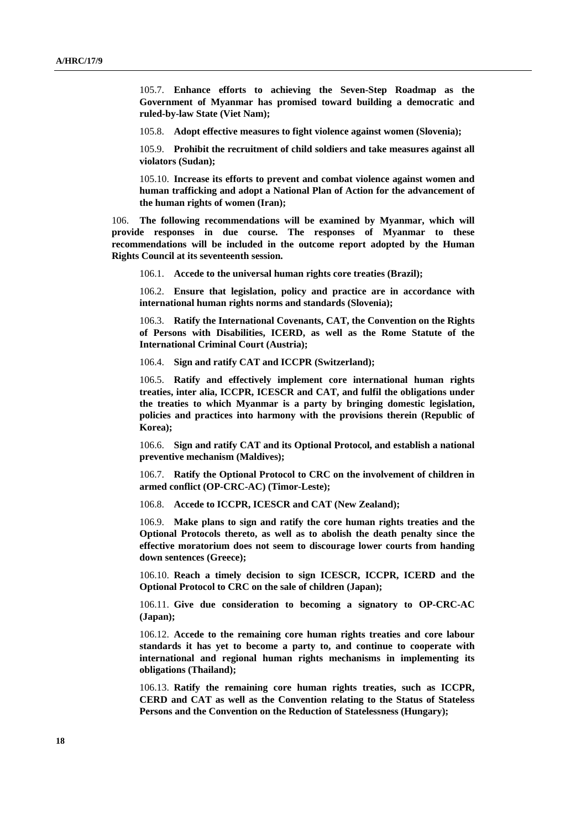105.7. **Enhance efforts to achieving the Seven-Step Roadmap as the Government of Myanmar has promised toward building a democratic and ruled-by-law State (Viet Nam);** 

105.8. **Adopt effective measures to fight violence against women (Slovenia);** 

105.9. **Prohibit the recruitment of child soldiers and take measures against all violators (Sudan);** 

105.10. **Increase its efforts to prevent and combat violence against women and human trafficking and adopt a National Plan of Action for the advancement of the human rights of women (Iran);** 

106. **The following recommendations will be examined by Myanmar, which will provide responses in due course. The responses of Myanmar to these recommendations will be included in the outcome report adopted by the Human Rights Council at its seventeenth session.** 

106.1. **Accede to the universal human rights core treaties (Brazil);** 

106.2. **Ensure that legislation, policy and practice are in accordance with international human rights norms and standards (Slovenia);** 

106.3. **Ratify the International Covenants, CAT, the Convention on the Rights of Persons with Disabilities, ICERD, as well as the Rome Statute of the International Criminal Court (Austria);** 

106.4. **Sign and ratify CAT and ICCPR (Switzerland);** 

106.5. **Ratify and effectively implement core international human rights treaties, inter alia, ICCPR, ICESCR and CAT, and fulfil the obligations under the treaties to which Myanmar is a party by bringing domestic legislation, policies and practices into harmony with the provisions therein (Republic of Korea);** 

106.6. **Sign and ratify CAT and its Optional Protocol, and establish a national preventive mechanism (Maldives);** 

106.7. **Ratify the Optional Protocol to CRC on the involvement of children in armed conflict (OP-CRC-AC) (Timor-Leste);** 

106.8. **Accede to ICCPR, ICESCR and CAT (New Zealand);** 

106.9. **Make plans to sign and ratify the core human rights treaties and the Optional Protocols thereto, as well as to abolish the death penalty since the effective moratorium does not seem to discourage lower courts from handing down sentences (Greece);** 

106.10. **Reach a timely decision to sign ICESCR, ICCPR, ICERD and the Optional Protocol to CRC on the sale of children (Japan);** 

106.11. **Give due consideration to becoming a signatory to OP-CRC-AC (Japan);** 

106.12. **Accede to the remaining core human rights treaties and core labour standards it has yet to become a party to, and continue to cooperate with international and regional human rights mechanisms in implementing its obligations (Thailand);** 

106.13. **Ratify the remaining core human rights treaties, such as ICCPR, CERD and CAT as well as the Convention relating to the Status of Stateless Persons and the Convention on the Reduction of Statelessness (Hungary);**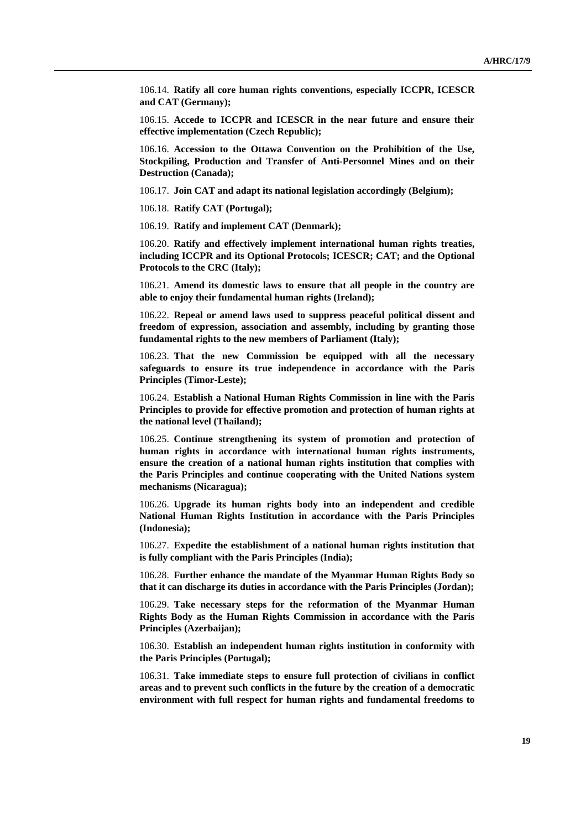106.14. **Ratify all core human rights conventions, especially ICCPR, ICESCR and CAT (Germany);** 

106.15. **Accede to ICCPR and ICESCR in the near future and ensure their effective implementation (Czech Republic);** 

106.16. **Accession to the Ottawa Convention on the Prohibition of the Use, Stockpiling, Production and Transfer of Anti-Personnel Mines and on their Destruction (Canada);** 

106.17. **Join CAT and adapt its national legislation accordingly (Belgium);** 

106.18. **Ratify CAT (Portugal);** 

106.19. **Ratify and implement CAT (Denmark);** 

106.20. **Ratify and effectively implement international human rights treaties, including ICCPR and its Optional Protocols; ICESCR; CAT; and the Optional Protocols to the CRC (Italy);** 

106.21. **Amend its domestic laws to ensure that all people in the country are able to enjoy their fundamental human rights (Ireland);** 

106.22. **Repeal or amend laws used to suppress peaceful political dissent and freedom of expression, association and assembly, including by granting those fundamental rights to the new members of Parliament (Italy);** 

106.23. **That the new Commission be equipped with all the necessary safeguards to ensure its true independence in accordance with the Paris Principles (Timor-Leste);** 

106.24. **Establish a National Human Rights Commission in line with the Paris Principles to provide for effective promotion and protection of human rights at the national level (Thailand);** 

106.25. **Continue strengthening its system of promotion and protection of human rights in accordance with international human rights instruments, ensure the creation of a national human rights institution that complies with the Paris Principles and continue cooperating with the United Nations system mechanisms (Nicaragua);** 

106.26. **Upgrade its human rights body into an independent and credible National Human Rights Institution in accordance with the Paris Principles (Indonesia);** 

106.27. **Expedite the establishment of a national human rights institution that is fully compliant with the Paris Principles (India);** 

106.28. **Further enhance the mandate of the Myanmar Human Rights Body so that it can discharge its duties in accordance with the Paris Principles (Jordan);** 

106.29. **Take necessary steps for the reformation of the Myanmar Human Rights Body as the Human Rights Commission in accordance with the Paris Principles (Azerbaijan);** 

106.30. **Establish an independent human rights institution in conformity with the Paris Principles (Portugal);** 

106.31. **Take immediate steps to ensure full protection of civilians in conflict areas and to prevent such conflicts in the future by the creation of a democratic environment with full respect for human rights and fundamental freedoms to**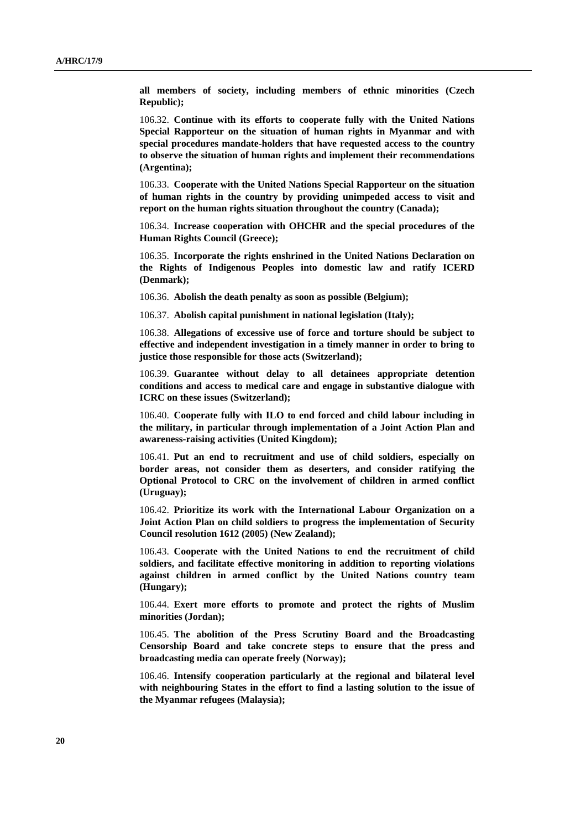**all members of society, including members of ethnic minorities (Czech Republic);** 

106.32. **Continue with its efforts to cooperate fully with the United Nations Special Rapporteur on the situation of human rights in Myanmar and with special procedures mandate-holders that have requested access to the country to observe the situation of human rights and implement their recommendations (Argentina);** 

106.33. **Cooperate with the United Nations Special Rapporteur on the situation of human rights in the country by providing unimpeded access to visit and report on the human rights situation throughout the country (Canada);** 

106.34. **Increase cooperation with OHCHR and the special procedures of the Human Rights Council (Greece);** 

106.35. **Incorporate the rights enshrined in the United Nations Declaration on the Rights of Indigenous Peoples into domestic law and ratify ICERD (Denmark);** 

106.36. **Abolish the death penalty as soon as possible (Belgium);** 

106.37. **Abolish capital punishment in national legislation (Italy);** 

106.38. **Allegations of excessive use of force and torture should be subject to effective and independent investigation in a timely manner in order to bring to justice those responsible for those acts (Switzerland);** 

106.39. **Guarantee without delay to all detainees appropriate detention conditions and access to medical care and engage in substantive dialogue with ICRC on these issues (Switzerland);** 

106.40. **Cooperate fully with ILO to end forced and child labour including in the military, in particular through implementation of a Joint Action Plan and awareness-raising activities (United Kingdom);** 

106.41. **Put an end to recruitment and use of child soldiers, especially on border areas, not consider them as deserters, and consider ratifying the Optional Protocol to CRC on the involvement of children in armed conflict (Uruguay);** 

106.42. **Prioritize its work with the International Labour Organization on a Joint Action Plan on child soldiers to progress the implementation of Security Council resolution 1612 (2005) (New Zealand);** 

106.43. **Cooperate with the United Nations to end the recruitment of child soldiers, and facilitate effective monitoring in addition to reporting violations against children in armed conflict by the United Nations country team (Hungary);** 

106.44. **Exert more efforts to promote and protect the rights of Muslim minorities (Jordan);** 

106.45. **The abolition of the Press Scrutiny Board and the Broadcasting Censorship Board and take concrete steps to ensure that the press and broadcasting media can operate freely (Norway);** 

106.46. **Intensify cooperation particularly at the regional and bilateral level with neighbouring States in the effort to find a lasting solution to the issue of the Myanmar refugees (Malaysia);**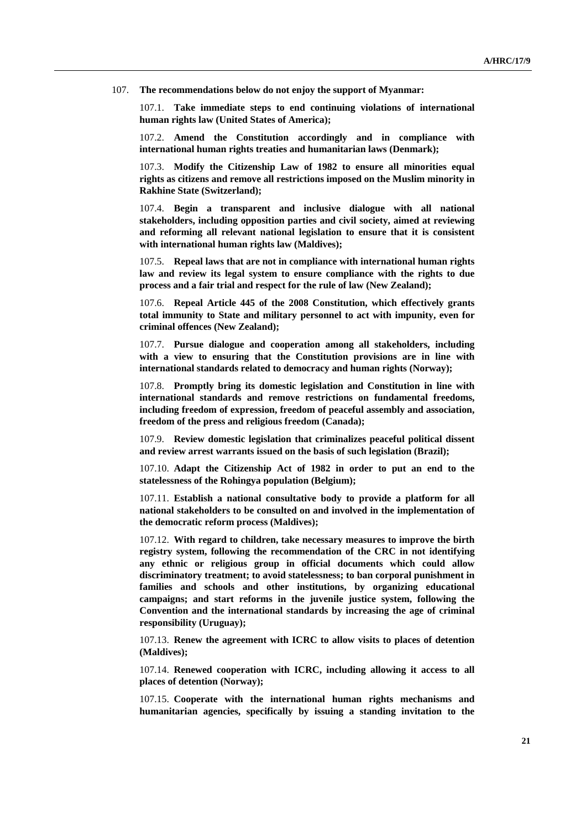107. **The recommendations below do not enjoy the support of Myanmar:**

107.1. **Take immediate steps to end continuing violations of international human rights law (United States of America);** 

107.2. **Amend the Constitution accordingly and in compliance with international human rights treaties and humanitarian laws (Denmark);** 

107.3. **Modify the Citizenship Law of 1982 to ensure all minorities equal rights as citizens and remove all restrictions imposed on the Muslim minority in Rakhine State (Switzerland);** 

107.4. **Begin a transparent and inclusive dialogue with all national stakeholders, including opposition parties and civil society, aimed at reviewing and reforming all relevant national legislation to ensure that it is consistent with international human rights law (Maldives);** 

107.5. **Repeal laws that are not in compliance with international human rights law and review its legal system to ensure compliance with the rights to due process and a fair trial and respect for the rule of law (New Zealand);** 

107.6. **Repeal Article 445 of the 2008 Constitution, which effectively grants total immunity to State and military personnel to act with impunity, even for criminal offences (New Zealand);** 

107.7. **Pursue dialogue and cooperation among all stakeholders, including with a view to ensuring that the Constitution provisions are in line with international standards related to democracy and human rights (Norway);** 

107.8. **Promptly bring its domestic legislation and Constitution in line with international standards and remove restrictions on fundamental freedoms, including freedom of expression, freedom of peaceful assembly and association, freedom of the press and religious freedom (Canada);** 

107.9. **Review domestic legislation that criminalizes peaceful political dissent and review arrest warrants issued on the basis of such legislation (Brazil);** 

107.10. **Adapt the Citizenship Act of 1982 in order to put an end to the statelessness of the Rohingya population (Belgium);** 

107.11. **Establish a national consultative body to provide a platform for all national stakeholders to be consulted on and involved in the implementation of the democratic reform process (Maldives);** 

107.12. **With regard to children, take necessary measures to improve the birth registry system, following the recommendation of the CRC in not identifying any ethnic or religious group in official documents which could allow discriminatory treatment; to avoid statelessness; to ban corporal punishment in families and schools and other institutions, by organizing educational campaigns; and start reforms in the juvenile justice system, following the Convention and the international standards by increasing the age of criminal responsibility (Uruguay);** 

107.13. **Renew the agreement with ICRC to allow visits to places of detention (Maldives);** 

107.14. **Renewed cooperation with ICRC, including allowing it access to all places of detention (Norway);** 

107.15. **Cooperate with the international human rights mechanisms and humanitarian agencies, specifically by issuing a standing invitation to the**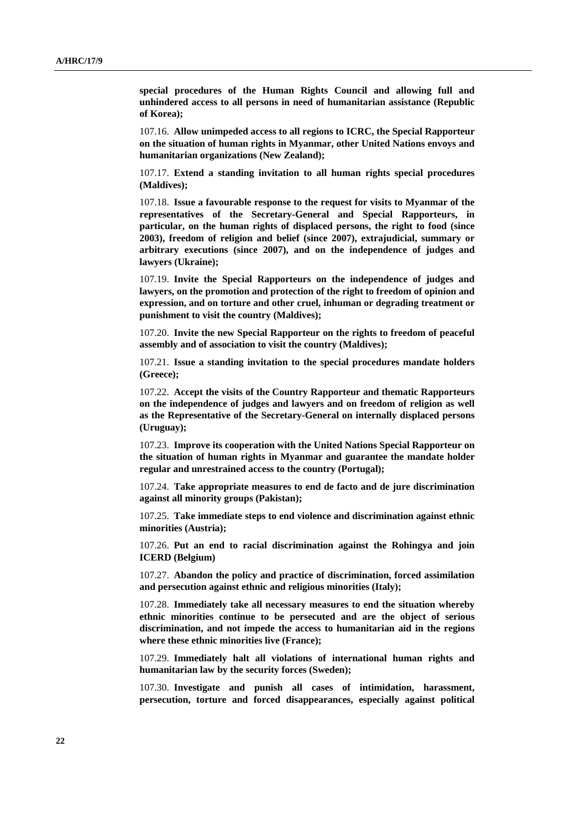**special procedures of the Human Rights Council and allowing full and unhindered access to all persons in need of humanitarian assistance (Republic of Korea);** 

107.16. **Allow unimpeded access to all regions to ICRC, the Special Rapporteur on the situation of human rights in Myanmar, other United Nations envoys and humanitarian organizations (New Zealand);** 

107.17. **Extend a standing invitation to all human rights special procedures (Maldives);** 

107.18. **Issue a favourable response to the request for visits to Myanmar of the representatives of the Secretary-General and Special Rapporteurs, in particular, on the human rights of displaced persons, the right to food (since 2003), freedom of religion and belief (since 2007), extrajudicial, summary or arbitrary executions (since 2007), and on the independence of judges and lawyers (Ukraine);** 

107.19. **Invite the Special Rapporteurs on the independence of judges and lawyers, on the promotion and protection of the right to freedom of opinion and expression, and on torture and other cruel, inhuman or degrading treatment or punishment to visit the country (Maldives);** 

107.20. **Invite the new Special Rapporteur on the rights to freedom of peaceful assembly and of association to visit the country (Maldives);** 

107.21. **Issue a standing invitation to the special procedures mandate holders (Greece);** 

107.22. **Accept the visits of the Country Rapporteur and thematic Rapporteurs on the independence of judges and lawyers and on freedom of religion as well as the Representative of the Secretary-General on internally displaced persons (Uruguay);** 

107.23. **Improve its cooperation with the United Nations Special Rapporteur on the situation of human rights in Myanmar and guarantee the mandate holder regular and unrestrained access to the country (Portugal);** 

107.24. **Take appropriate measures to end de facto and de jure discrimination against all minority groups (Pakistan);** 

107.25. **Take immediate steps to end violence and discrimination against ethnic minorities (Austria);** 

107.26. **Put an end to racial discrimination against the Rohingya and join ICERD (Belgium)** 

107.27. **Abandon the policy and practice of discrimination, forced assimilation and persecution against ethnic and religious minorities (Italy);** 

107.28. **Immediately take all necessary measures to end the situation whereby ethnic minorities continue to be persecuted and are the object of serious discrimination, and not impede the access to humanitarian aid in the regions where these ethnic minorities live (France);** 

107.29. **Immediately halt all violations of international human rights and humanitarian law by the security forces (Sweden);** 

107.30. **Investigate and punish all cases of intimidation, harassment, persecution, torture and forced disappearances, especially against political**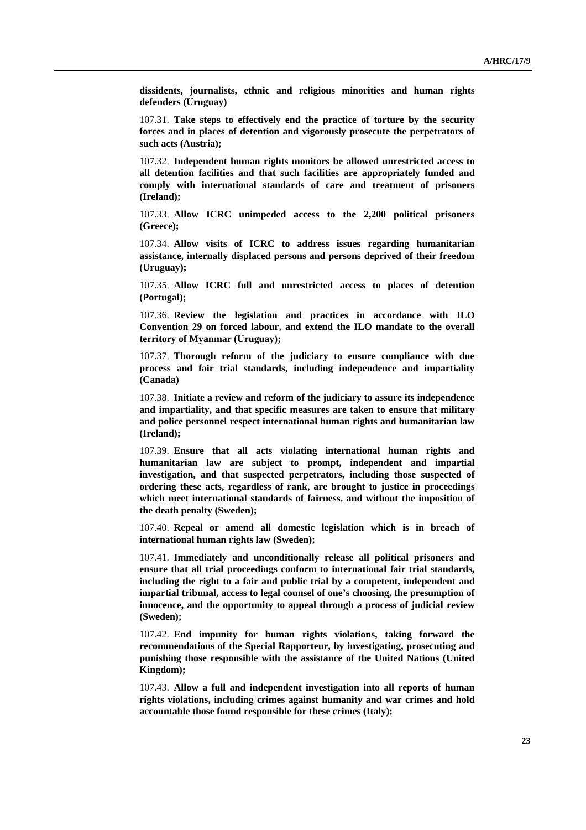**dissidents, journalists, ethnic and religious minorities and human rights defenders (Uruguay)** 

107.31. **Take steps to effectively end the practice of torture by the security forces and in places of detention and vigorously prosecute the perpetrators of such acts (Austria);** 

107.32. **Independent human rights monitors be allowed unrestricted access to all detention facilities and that such facilities are appropriately funded and comply with international standards of care and treatment of prisoners (Ireland);** 

107.33. **Allow ICRC unimpeded access to the 2,200 political prisoners (Greece);** 

107.34. **Allow visits of ICRC to address issues regarding humanitarian assistance, internally displaced persons and persons deprived of their freedom (Uruguay);** 

107.35. **Allow ICRC full and unrestricted access to places of detention (Portugal);** 

107.36. **Review the legislation and practices in accordance with ILO Convention 29 on forced labour, and extend the ILO mandate to the overall territory of Myanmar (Uruguay);** 

107.37. **Thorough reform of the judiciary to ensure compliance with due process and fair trial standards, including independence and impartiality (Canada)** 

107.38. **Initiate a review and reform of the judiciary to assure its independence and impartiality, and that specific measures are taken to ensure that military and police personnel respect international human rights and humanitarian law (Ireland);** 

107.39. **Ensure that all acts violating international human rights and humanitarian law are subject to prompt, independent and impartial investigation, and that suspected perpetrators, including those suspected of ordering these acts, regardless of rank, are brought to justice in proceedings which meet international standards of fairness, and without the imposition of the death penalty (Sweden);** 

107.40. **Repeal or amend all domestic legislation which is in breach of international human rights law (Sweden);** 

107.41. **Immediately and unconditionally release all political prisoners and ensure that all trial proceedings conform to international fair trial standards, including the right to a fair and public trial by a competent, independent and impartial tribunal, access to legal counsel of one's choosing, the presumption of innocence, and the opportunity to appeal through a process of judicial review (Sweden);** 

107.42. **End impunity for human rights violations, taking forward the recommendations of the Special Rapporteur, by investigating, prosecuting and punishing those responsible with the assistance of the United Nations (United Kingdom);** 

107.43. **Allow a full and independent investigation into all reports of human rights violations, including crimes against humanity and war crimes and hold accountable those found responsible for these crimes (Italy);**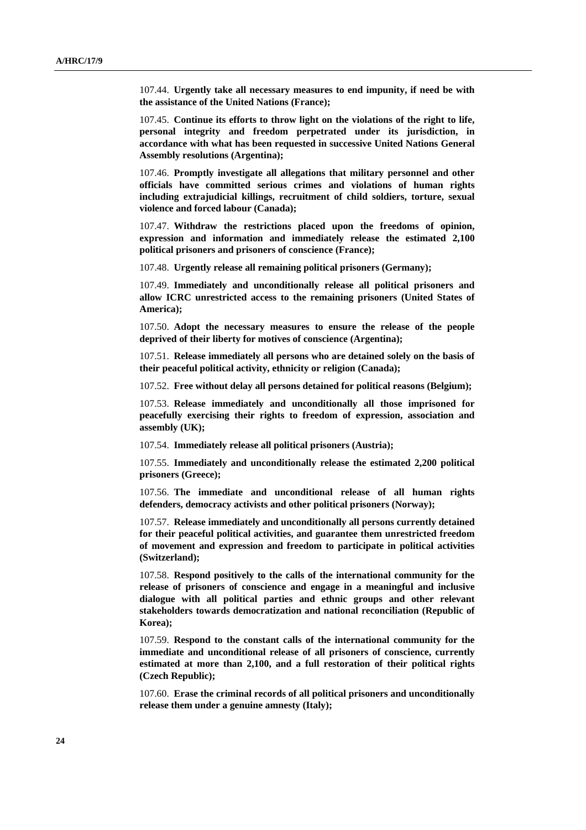107.44. **Urgently take all necessary measures to end impunity, if need be with the assistance of the United Nations (France);** 

107.45. **Continue its efforts to throw light on the violations of the right to life, personal integrity and freedom perpetrated under its jurisdiction, in accordance with what has been requested in successive United Nations General Assembly resolutions (Argentina);** 

107.46. **Promptly investigate all allegations that military personnel and other officials have committed serious crimes and violations of human rights including extrajudicial killings, recruitment of child soldiers, torture, sexual violence and forced labour (Canada);** 

107.47. **Withdraw the restrictions placed upon the freedoms of opinion, expression and information and immediately release the estimated 2,100 political prisoners and prisoners of conscience (France);** 

107.48. **Urgently release all remaining political prisoners (Germany);** 

107.49. **Immediately and unconditionally release all political prisoners and allow ICRC unrestricted access to the remaining prisoners (United States of America);** 

107.50. **Adopt the necessary measures to ensure the release of the people deprived of their liberty for motives of conscience (Argentina);** 

107.51. **Release immediately all persons who are detained solely on the basis of their peaceful political activity, ethnicity or religion (Canada);** 

107.52. **Free without delay all persons detained for political reasons (Belgium);** 

107.53. **Release immediately and unconditionally all those imprisoned for peacefully exercising their rights to freedom of expression, association and assembly (UK);** 

107.54. **Immediately release all political prisoners (Austria);** 

107.55. **Immediately and unconditionally release the estimated 2,200 political prisoners (Greece);** 

107.56. **The immediate and unconditional release of all human rights defenders, democracy activists and other political prisoners (Norway);** 

107.57. **Release immediately and unconditionally all persons currently detained for their peaceful political activities, and guarantee them unrestricted freedom of movement and expression and freedom to participate in political activities (Switzerland);** 

107.58. **Respond positively to the calls of the international community for the release of prisoners of conscience and engage in a meaningful and inclusive dialogue with all political parties and ethnic groups and other relevant stakeholders towards democratization and national reconciliation (Republic of Korea);** 

107.59. **Respond to the constant calls of the international community for the immediate and unconditional release of all prisoners of conscience, currently estimated at more than 2,100, and a full restoration of their political rights (Czech Republic);** 

107.60. **Erase the criminal records of all political prisoners and unconditionally release them under a genuine amnesty (Italy);**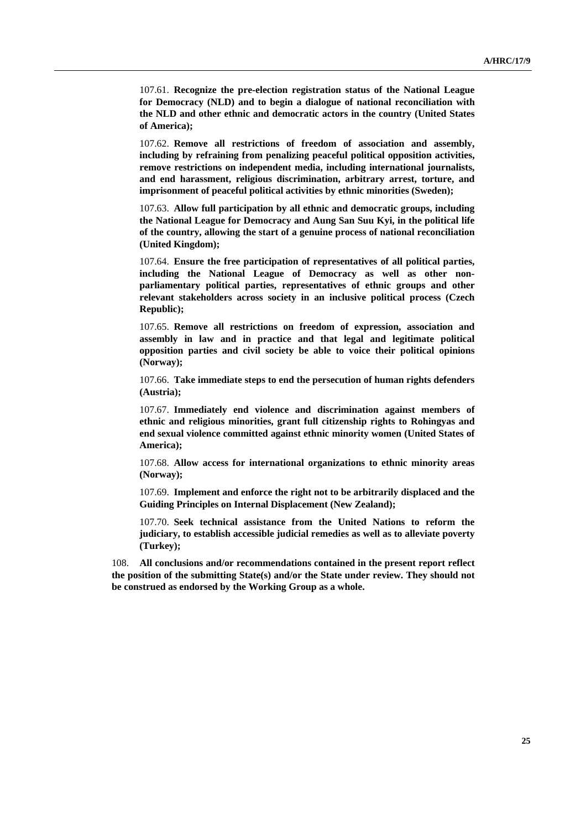107.61. **Recognize the pre-election registration status of the National League for Democracy (NLD) and to begin a dialogue of national reconciliation with the NLD and other ethnic and democratic actors in the country (United States of America);** 

107.62. **Remove all restrictions of freedom of association and assembly, including by refraining from penalizing peaceful political opposition activities, remove restrictions on independent media, including international journalists, and end harassment, religious discrimination, arbitrary arrest, torture, and imprisonment of peaceful political activities by ethnic minorities (Sweden);** 

107.63. **Allow full participation by all ethnic and democratic groups, including the National League for Democracy and Aung San Suu Kyi, in the political life of the country, allowing the start of a genuine process of national reconciliation (United Kingdom);** 

107.64. **Ensure the free participation of representatives of all political parties, including the National League of Democracy as well as other nonparliamentary political parties, representatives of ethnic groups and other relevant stakeholders across society in an inclusive political process (Czech Republic);** 

107.65. **Remove all restrictions on freedom of expression, association and assembly in law and in practice and that legal and legitimate political opposition parties and civil society be able to voice their political opinions (Norway);** 

107.66. **Take immediate steps to end the persecution of human rights defenders (Austria);** 

107.67. **Immediately end violence and discrimination against members of ethnic and religious minorities, grant full citizenship rights to Rohingyas and end sexual violence committed against ethnic minority women (United States of America);** 

107.68. **Allow access for international organizations to ethnic minority areas (Norway);** 

107.69. **Implement and enforce the right not to be arbitrarily displaced and the Guiding Principles on Internal Displacement (New Zealand);** 

107.70. **Seek technical assistance from the United Nations to reform the judiciary, to establish accessible judicial remedies as well as to alleviate poverty (Turkey);** 

108. **All conclusions and/or recommendations contained in the present report reflect the position of the submitting State(s) and/or the State under review. They should not be construed as endorsed by the Working Group as a whole.**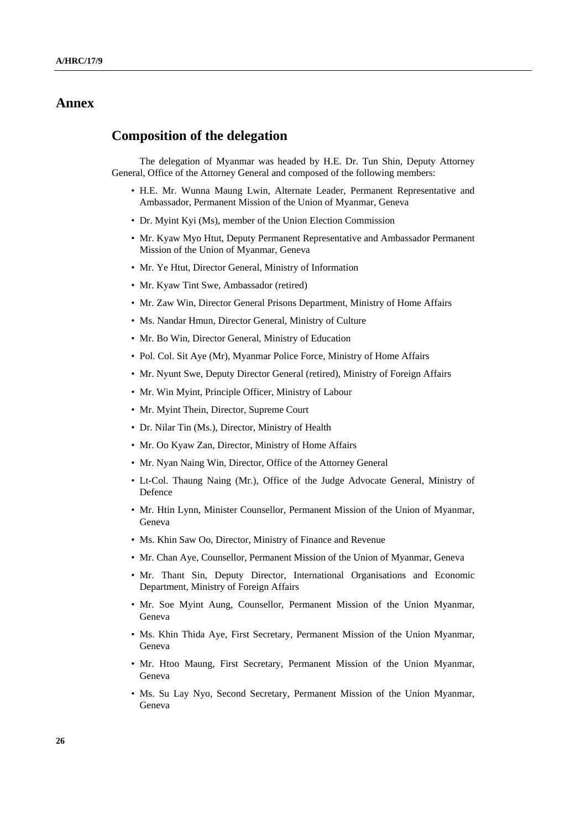## **Annex**

### **Composition of the delegation**

 The delegation of Myanmar was headed by H.E. Dr. Tun Shin, Deputy Attorney General, Office of the Attorney General and composed of the following members:

- H.E. Mr. Wunna Maung Lwin, Alternate Leader, Permanent Representative and Ambassador, Permanent Mission of the Union of Myanmar, Geneva
- Dr. Myint Kyi (Ms), member of the Union Election Commission
- Mr. Kyaw Myo Htut, Deputy Permanent Representative and Ambassador Permanent Mission of the Union of Myanmar, Geneva
- Mr. Ye Htut, Director General, Ministry of Information
- Mr. Kyaw Tint Swe, Ambassador (retired)
- Mr. Zaw Win, Director General Prisons Department, Ministry of Home Affairs
- Ms. Nandar Hmun, Director General, Ministry of Culture
- Mr. Bo Win, Director General, Ministry of Education
- Pol. Col. Sit Aye (Mr), Myanmar Police Force, Ministry of Home Affairs
- Mr. Nyunt Swe, Deputy Director General (retired), Ministry of Foreign Affairs
- Mr. Win Myint, Principle Officer, Ministry of Labour
- Mr. Myint Thein, Director, Supreme Court
- Dr. Nilar Tin (Ms.), Director, Ministry of Health
- Mr. Oo Kyaw Zan, Director, Ministry of Home Affairs
- Mr. Nyan Naing Win, Director, Office of the Attorney General
- Lt-Col. Thaung Naing (Mr.), Office of the Judge Advocate General, Ministry of Defence
- Mr. Htin Lynn, Minister Counsellor, Permanent Mission of the Union of Myanmar, Geneva
- Ms. Khin Saw Oo, Director, Ministry of Finance and Revenue
- Mr. Chan Aye, Counsellor, Permanent Mission of the Union of Myanmar, Geneva
- Mr. Thant Sin, Deputy Director, International Organisations and Economic Department, Ministry of Foreign Affairs
- Mr. Soe Myint Aung, Counsellor, Permanent Mission of the Union Myanmar, Geneva
- Ms. Khin Thida Aye, First Secretary, Permanent Mission of the Union Myanmar, Geneva
- Mr. Htoo Maung, First Secretary, Permanent Mission of the Union Myanmar, Geneva
- Ms. Su Lay Nyo, Second Secretary, Permanent Mission of the Union Myanmar, Geneva